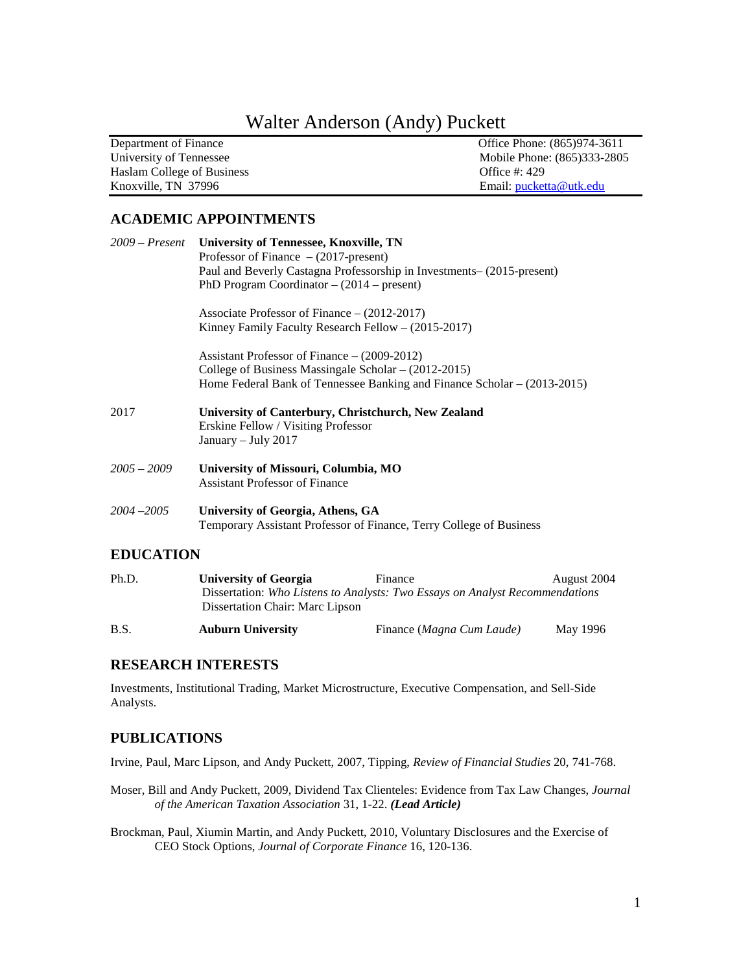# Walter Anderson (Andy) Puckett

| Department of Finance      | Office Phone: (865)974-3611 |
|----------------------------|-----------------------------|
| University of Tennessee    | Mobile Phone: (865)333-2805 |
| Haslam College of Business | Office $\#$ : 429           |
| Knoxville, TN 37996        | Email: pucketta@utk.edu     |

# **ACADEMIC APPOINTMENTS**

|                  | 2009 – Present University of Tennessee, Knoxville, TN                                      |
|------------------|--------------------------------------------------------------------------------------------|
|                  | Professor of Finance $- (2017$ -present)                                                   |
|                  | Paul and Beverly Castagna Professorship in Investments- (2015-present)                     |
|                  | PhD Program Coordinator $- (2014 - \text{present})$                                        |
|                  | Associate Professor of Finance $- (2012-2017)$                                             |
|                  | Kinney Family Faculty Research Fellow $- (2015-2017)$                                      |
|                  | Assistant Professor of Finance $- (2009-2012)$                                             |
|                  | College of Business Massingale Scholar $- (2012 - 2015)$                                   |
|                  | Home Federal Bank of Tennessee Banking and Finance Scholar – (2013-2015)                   |
| 2017             | University of Canterbury, Christchurch, New Zealand<br>Erskine Fellow / Visiting Professor |
|                  | January - July 2017                                                                        |
| $2005 - 2009$    | University of Missouri, Columbia, MO                                                       |
|                  | <b>Assistant Professor of Finance</b>                                                      |
| $2004 - 2005$    | University of Georgia, Athens, GA                                                          |
|                  | Temporary Assistant Professor of Finance, Terry College of Business                        |
| <b>EDUCATION</b> |                                                                                            |
|                  |                                                                                            |

| Ph.D.       | University of Georgia           | Finance                                                                      | August 2004 |
|-------------|---------------------------------|------------------------------------------------------------------------------|-------------|
|             | Dissertation Chair: Marc Lipson | Dissertation: Who Listens to Analysts: Two Essays on Analyst Recommendations |             |
| <b>B.S.</b> | <b>Auburn University</b>        | Finance (Magna Cum Laude)                                                    | May 1996    |

# **RESEARCH INTERESTS**

Investments, Institutional Trading, Market Microstructure, Executive Compensation, and Sell-Side Analysts.

# **PUBLICATIONS**

Irvine, Paul, Marc Lipson, and Andy Puckett, 2007, Tipping, *Review of Financial Studies* 20, 741-768.

- Moser, Bill and Andy Puckett, 2009, Dividend Tax Clienteles: Evidence from Tax Law Changes, *Journal of the American Taxation Association* 31, 1-22. *(Lead Article)*
- Brockman, Paul, Xiumin Martin, and Andy Puckett, 2010, Voluntary Disclosures and the Exercise of CEO Stock Options, *Journal of Corporate Finance* 16, 120-136.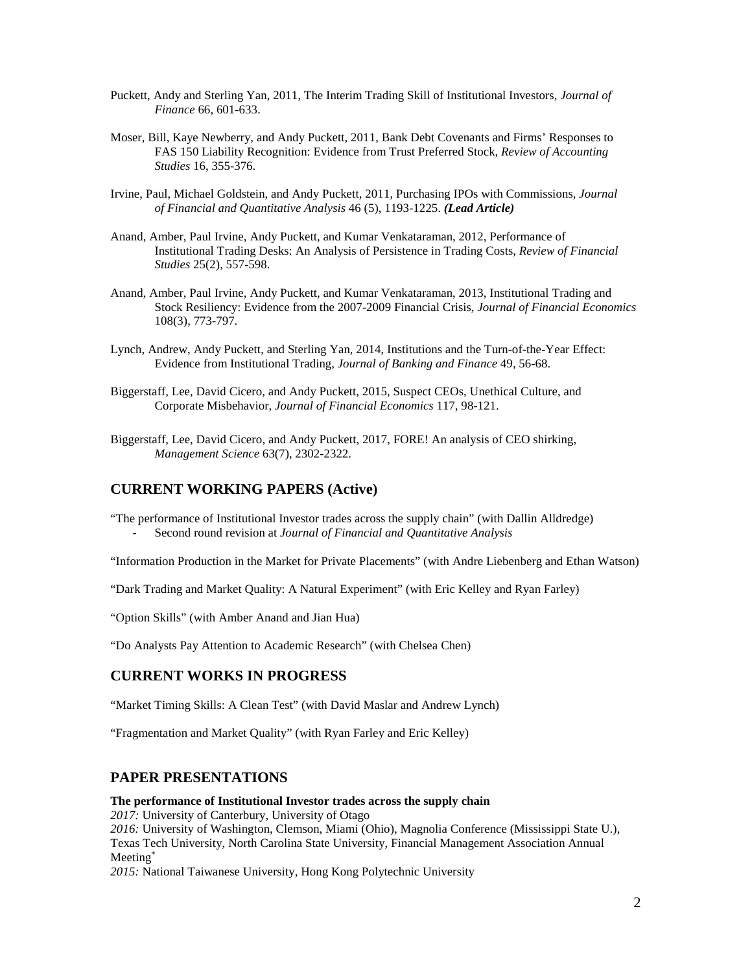- Puckett, Andy and Sterling Yan, 2011, The Interim Trading Skill of Institutional Investors, *Journal of Finance* 66, 601-633.
- Moser, Bill, Kaye Newberry, and Andy Puckett, 2011, Bank Debt Covenants and Firms' Responses to FAS 150 Liability Recognition: Evidence from Trust Preferred Stock, *Review of Accounting Studies* 16, 355-376.
- Irvine, Paul, Michael Goldstein, and Andy Puckett, 2011, Purchasing IPOs with Commissions, *Journal of Financial and Quantitative Analysis* 46 (5), 1193-1225. *(Lead Article)*
- Anand, Amber, Paul Irvine, Andy Puckett, and Kumar Venkataraman, 2012, Performance of Institutional Trading Desks: An Analysis of Persistence in Trading Costs, *Review of Financial Studies* 25(2), 557-598.
- Anand, Amber, Paul Irvine, Andy Puckett, and Kumar Venkataraman, 2013, Institutional Trading and Stock Resiliency: Evidence from the 2007-2009 Financial Crisis, *Journal of Financial Economics* 108(3), 773-797.
- Lynch, Andrew, Andy Puckett, and Sterling Yan, 2014, Institutions and the Turn-of-the-Year Effect: Evidence from Institutional Trading, *Journal of Banking and Finance* 49, 56-68.
- Biggerstaff, Lee, David Cicero, and Andy Puckett, 2015, Suspect CEOs, Unethical Culture, and Corporate Misbehavior, *Journal of Financial Economics* 117, 98-121.
- Biggerstaff, Lee, David Cicero, and Andy Puckett, 2017, FORE! An analysis of CEO shirking, *Management Science* 63(7), 2302-2322.

# **CURRENT WORKING PAPERS (Active)**

"The performance of Institutional Investor trades across the supply chain" (with Dallin Alldredge) - Second round revision at *Journal of Financial and Quantitative Analysis*

"Information Production in the Market for Private Placements" (with Andre Liebenberg and Ethan Watson)

"Dark Trading and Market Quality: A Natural Experiment" (with Eric Kelley and Ryan Farley)

"Option Skills" (with Amber Anand and Jian Hua)

"Do Analysts Pay Attention to Academic Research" (with Chelsea Chen)

# **CURRENT WORKS IN PROGRESS**

"Market Timing Skills: A Clean Test" (with David Maslar and Andrew Lynch)

"Fragmentation and Market Quality" (with Ryan Farley and Eric Kelley)

## **PAPER PRESENTATIONS**

#### **The performance of Institutional Investor trades across the supply chain**

*2017:* University of Canterbury, University of Otago

*2016:* University of Washington, Clemson, Miami (Ohio), Magnolia Conference (Mississippi State U.), Texas Tech University, North Carolina State University, Financial Management Association Annual Meeting\*

*2015:* National Taiwanese University, Hong Kong Polytechnic University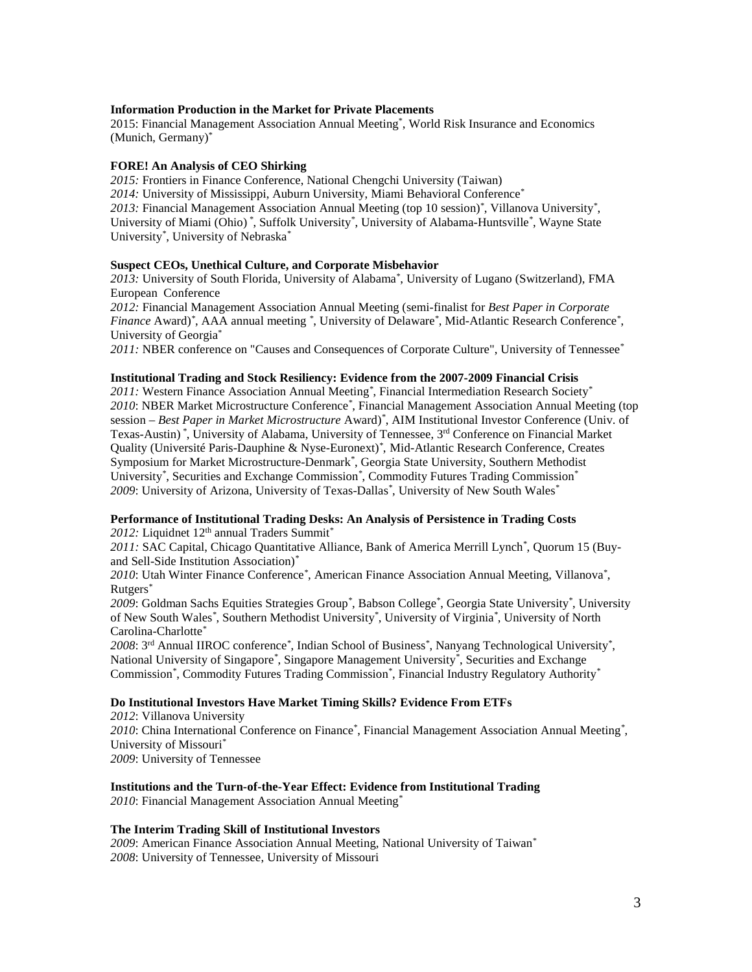## **Information Production in the Market for Private Placements**

2015: Financial Management Association Annual Meeting\* , World Risk Insurance and Economics (Munich, Germany)\*

#### **FORE! An Analysis of CEO Shirking**

*2015:* Frontiers in Finance Conference, National Chengchi University (Taiwan) *2014:* University of Mississippi, Auburn University, Miami Behavioral Conference*\* 2013:* Financial Management Association Annual Meeting (top 10 session)*\** , Villanova University*\** , University of Miami (Ohio) *\** , Suffolk University*\** , University of Alabama-Huntsville*\** , Wayne State University*\** , University of Nebraska*\**

#### **Suspect CEOs, Unethical Culture, and Corporate Misbehavior**

*2013:* University of South Florida*,* University of Alabama*\** , University of Lugano (Switzerland), FMA European Conference

*2012:* Financial Management Association Annual Meeting (semi-finalist for *Best Paper in Corporate Finance* Award)*\** , AAA annual meeting *\** , University of Delaware*\** , Mid-Atlantic Research Conference*\** , University of Georgia\*

*2011:* NBER conference on "Causes and Consequences of Corporate Culture", University of Tennessee*\**

#### **Institutional Trading and Stock Resiliency: Evidence from the 2007-2009 Financial Crisis**

*2011:* Western Finance Association Annual Meeting*\** , Financial Intermediation Research Society*\* 2010*: NBER Market Microstructure Conference*\** , Financial Management Association Annual Meeting (top session – *Best Paper in Market Microstructure* Award)*\** , AIM Institutional Investor Conference (Univ. of Texas-Austin) *\** , University of Alabama, University of Tennessee, 3rd Conference on Financial Market Quality (Université Paris-Dauphine & Nyse-Euronext)*\** , Mid-Atlantic Research Conference, Creates Symposium for Market Microstructure-Denmark*\** , Georgia State University, Southern Methodist University*\** , Securities and Exchange Commission*\** , Commodity Futures Trading Commission*\* 2009*: University of Arizona, University of Texas-Dallas*\** , University of New South Wales*\**

## **Performance of Institutional Trading Desks: An Analysis of Persistence in Trading Costs**

*2012:* Liquidnet 12th annual Traders Summit*\**

*2011:* SAC Capital, Chicago Quantitative Alliance, Bank of America Merrill Lynch*\** , Quorum 15 (Buyand Sell-Side Institution Association)*\**

*2010*: Utah Winter Finance Conference*\** , American Finance Association Annual Meeting, Villanova*\** , Rutgers*\**

*2009*: Goldman Sachs Equities Strategies Group*\** , Babson College*\** , Georgia State University*\** , University of New South Wales*\** , Southern Methodist University*\** , University of Virginia*\** , University of North Carolina-Charlotte*\**

*2008*: 3rd Annual IIROC conference*\** , Indian School of Business*\** , Nanyang Technological University*\** , National University of Singapore<sup>\*</sup>, Singapore Management University<sup>\*</sup>, Securities and Exchange Commission*\** , Commodity Futures Trading Commission*\** , Financial Industry Regulatory Authority*\**

## **Do Institutional Investors Have Market Timing Skills? Evidence From ETFs**

: Villanova University : China International Conference on Finance*\** , Financial Management Association Annual Meeting*\** , University of Missouri*\** : University of Tennessee

## **Institutions and the Turn-of-the-Year Effect: Evidence from Institutional Trading**

*2010*: Financial Management Association Annual Meeting*\**

#### **The Interim Trading Skill of Institutional Investors**

*2009*: American Finance Association Annual Meeting, National University of Taiwan*\* 2008*: University of Tennessee, University of Missouri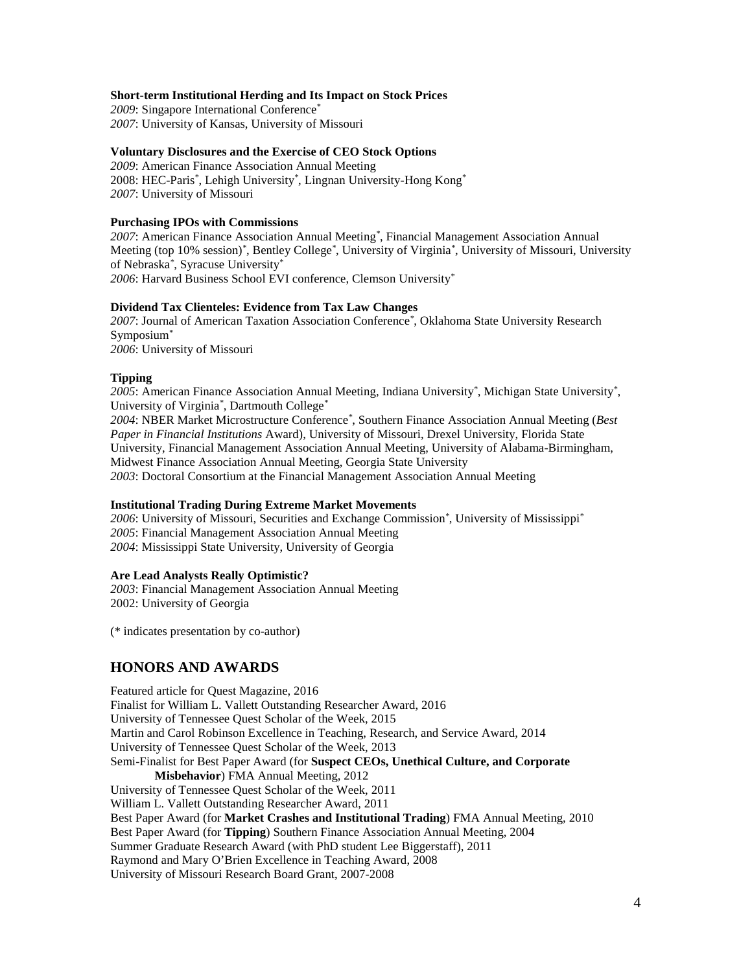## **Short-term Institutional Herding and Its Impact on Stock Prices**

*2009*: Singapore International Conference*\* 2007*: University of Kansas, University of Missouri

#### **Voluntary Disclosures and the Exercise of CEO Stock Options**

*2009*: American Finance Association Annual Meeting 2008: HEC-Paris*\** , Lehigh University*\** , Lingnan University-Hong Kong*\* 2007*: University of Missouri

## **Purchasing IPOs with Commissions**

*2007*: American Finance Association Annual Meeting*\** , Financial Management Association Annual Meeting (top 10% session)*\** , Bentley College*\** , University of Virginia*\** , University of Missouri, University of Nebraska*\** , Syracuse University*\* 2006*: Harvard Business School EVI conference, Clemson University*\**

#### **Dividend Tax Clienteles: Evidence from Tax Law Changes**

*2007*: Journal of American Taxation Association Conference*\** , Oklahoma State University Research Symposium*\* 2006*: University of Missouri

## **Tipping**

*2005*: American Finance Association Annual Meeting, Indiana University*\** , Michigan State University*\** , University of Virginia*\** , Dartmouth College*\* 2004*: NBER Market Microstructure Conference*\** , Southern Finance Association Annual Meeting (*Best Paper in Financial Institutions* Award), University of Missouri, Drexel University, Florida State University, Financial Management Association Annual Meeting, University of Alabama-Birmingham, Midwest Finance Association Annual Meeting, Georgia State University

*2003*: Doctoral Consortium at the Financial Management Association Annual Meeting

## **Institutional Trading During Extreme Market Movements**

*2006*: University of Missouri, Securities and Exchange Commission*\** , University of Mississippi*\* 2005*: Financial Management Association Annual Meeting *2004*: Mississippi State University, University of Georgia

#### **Are Lead Analysts Really Optimistic?**

*2003*: Financial Management Association Annual Meeting 2002: University of Georgia

(\* indicates presentation by co-author)

# **HONORS AND AWARDS**

Featured article for Quest Magazine, 2016 Finalist for William L. Vallett Outstanding Researcher Award, 2016 University of Tennessee Quest Scholar of the Week, 2015 Martin and Carol Robinson Excellence in Teaching, Research, and Service Award, 2014 University of Tennessee Quest Scholar of the Week, 2013 Semi-Finalist for Best Paper Award (for **Suspect CEOs, Unethical Culture, and Corporate Misbehavior**) FMA Annual Meeting, 2012 University of Tennessee Quest Scholar of the Week, 2011 William L. Vallett Outstanding Researcher Award, 2011 Best Paper Award (for **Market Crashes and Institutional Trading**) FMA Annual Meeting, 2010 Best Paper Award (for **Tipping**) Southern Finance Association Annual Meeting, 2004 Summer Graduate Research Award (with PhD student Lee Biggerstaff), 2011 Raymond and Mary O'Brien Excellence in Teaching Award, 2008 University of Missouri Research Board Grant, 2007-2008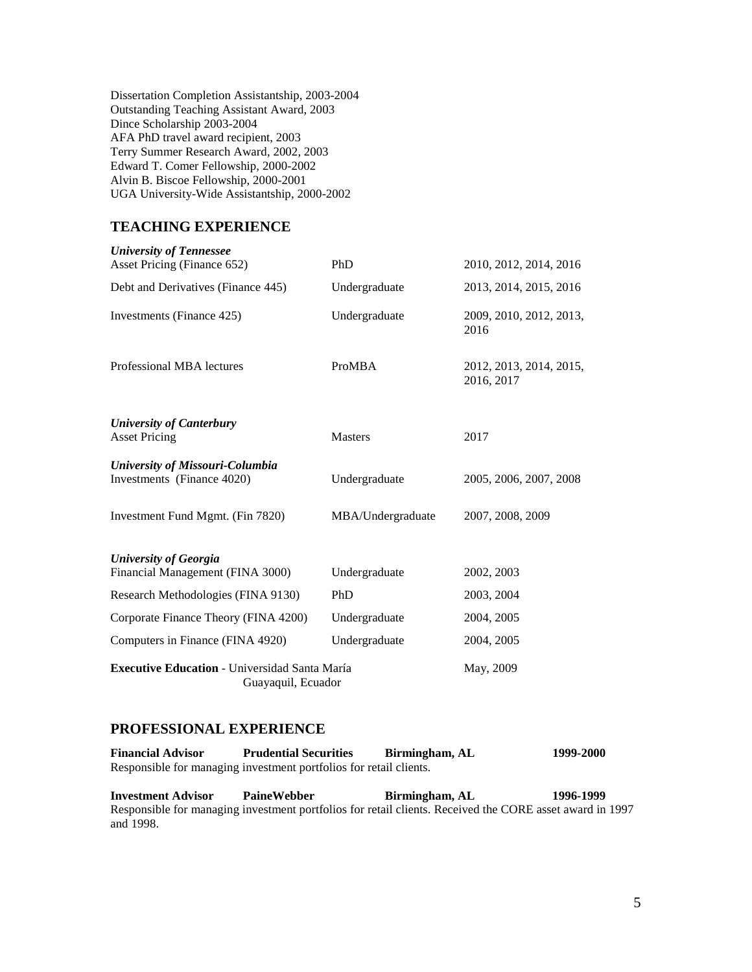Dissertation Completion Assistantship, 2003-2004 Outstanding Teaching Assistant Award, 2003 Dince Scholarship 2003-2004 AFA PhD travel award recipient, 2003 Terry Summer Research Award, 2002, 2003 Edward T. Comer Fellowship, 2000-2002 Alvin B. Biscoe Fellowship, 2000-2001 UGA University-Wide Assistantship, 2000-2002

# **TEACHING EXPERIENCE**

| <b>University of Tennessee</b><br>Asset Pricing (Finance 652)              | PhD               | 2010, 2012, 2014, 2016                |
|----------------------------------------------------------------------------|-------------------|---------------------------------------|
| Debt and Derivatives (Finance 445)                                         | Undergraduate     | 2013, 2014, 2015, 2016                |
| Investments (Finance 425)                                                  | Undergraduate     | 2009, 2010, 2012, 2013,<br>2016       |
| Professional MBA lectures                                                  | ProMBA            | 2012, 2013, 2014, 2015,<br>2016, 2017 |
| <b>University of Canterbury</b><br><b>Asset Pricing</b>                    | <b>Masters</b>    | 2017                                  |
| University of Missouri-Columbia<br>Investments (Finance 4020)              | Undergraduate     | 2005, 2006, 2007, 2008                |
| Investment Fund Mgmt. (Fin 7820)                                           | MBA/Undergraduate | 2007, 2008, 2009                      |
| <b>University of Georgia</b>                                               |                   |                                       |
| Financial Management (FINA 3000)                                           | Undergraduate     | 2002, 2003                            |
| Research Methodologies (FINA 9130)                                         | PhD               | 2003, 2004                            |
| Corporate Finance Theory (FINA 4200)                                       | Undergraduate     | 2004, 2005                            |
| Computers in Finance (FINA 4920)                                           | Undergraduate     | 2004, 2005                            |
| <b>Executive Education - Universidad Santa María</b><br>Guayaquil, Ecuador | May, 2009         |                                       |

# **PROFESSIONAL EXPERIENCE**

| <b>Financial Advisor</b> | <b>Prudential Securities</b>                                       | Birmingham, AL | 1999-2000 |
|--------------------------|--------------------------------------------------------------------|----------------|-----------|
|                          | Responsible for managing investment portfolios for retail clients. |                |           |

**Investment Advisor PaineWebber Birmingham, AL 1996-1999** Responsible for managing investment portfolios for retail clients. Received the CORE asset award in 1997 and 1998.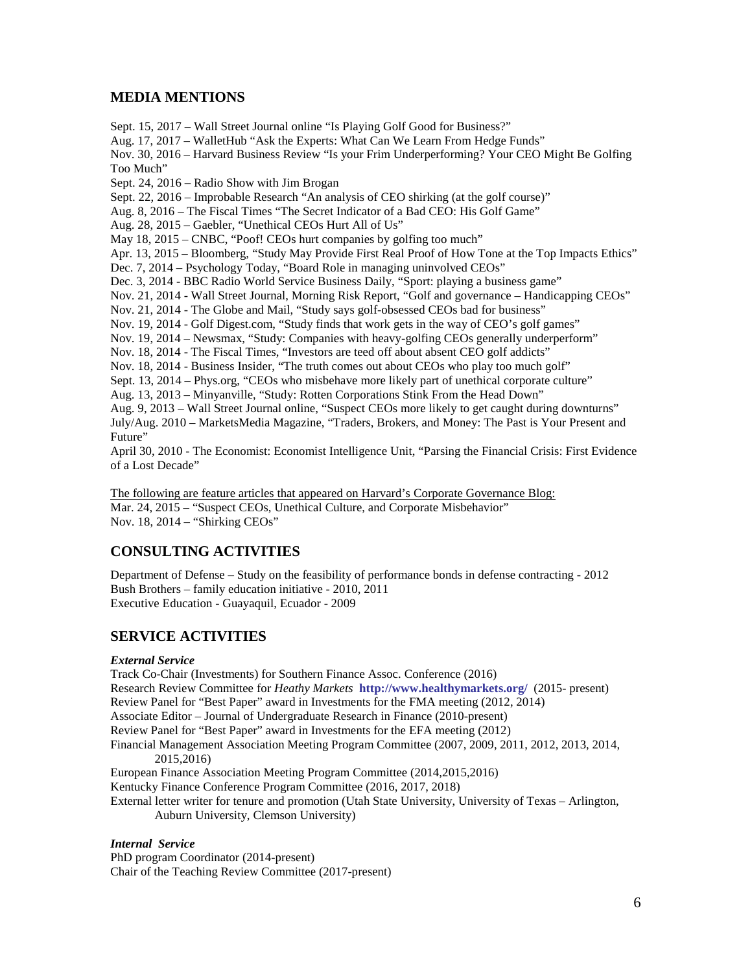# **MEDIA MENTIONS**

Sept. 15, 2017 – Wall Street Journal online "Is Playing Golf Good for Business?" Aug. 17, 2017 – WalletHub "Ask the Experts: What Can We Learn From Hedge Funds" Nov. 30, 2016 – Harvard Business Review "Is your Frim Underperforming? Your CEO Might Be Golfing Too Much" Sept. 24, 2016 – Radio Show with Jim Brogan Sept. 22, 2016 – Improbable Research "An analysis of CEO shirking (at the golf course)" Aug. 8, 2016 – The Fiscal Times "The Secret Indicator of a Bad CEO: His Golf Game" Aug. 28, 2015 – Gaebler, "Unethical CEOs Hurt All of Us" May 18, 2015 – CNBC, "Poof! CEOs hurt companies by golfing too much" Apr. 13, 2015 – Bloomberg, "Study May Provide First Real Proof of How Tone at the Top Impacts Ethics" Dec. 7, 2014 – Psychology Today, "Board Role in managing uninvolved CEOs" Dec. 3, 2014 - BBC Radio World Service Business Daily, "Sport: playing a business game" Nov. 21, 2014 - Wall Street Journal, Morning Risk Report, "Golf and governance – Handicapping CEOs" Nov. 21, 2014 - The Globe and Mail, "Study says golf-obsessed CEOs bad for business" Nov. 19, 2014 - Golf Digest.com, "Study finds that work gets in the way of CEO's golf games" Nov. 19, 2014 – Newsmax, "Study: Companies with heavy-golfing CEOs generally underperform" Nov. 18, 2014 - The Fiscal Times, "Investors are teed off about absent CEO golf addicts" Nov. 18, 2014 - Business Insider, "The truth comes out about CEOs who play too much golf" Sept. 13, 2014 – Phys.org, "CEOs who misbehave more likely part of unethical corporate culture" Aug. 13, 2013 – Minyanville, "Study: Rotten Corporations Stink From the Head Down" Aug. 9, 2013 – Wall Street Journal online, "Suspect CEOs more likely to get caught during downturns" July/Aug. 2010 – MarketsMedia Magazine, "Traders, Brokers, and Money: The Past is Your Present and Future"

April 30, 2010 - The Economist: Economist Intelligence Unit, "Parsing the Financial Crisis: First Evidence of a Lost Decade"

The following are feature articles that appeared on Harvard's Corporate Governance Blog: Mar. 24, 2015 – "Suspect CEOs, Unethical Culture, and Corporate Misbehavior" Nov. 18, 2014 – "Shirking CEOs"

# **CONSULTING ACTIVITIES**

Department of Defense – Study on the feasibility of performance bonds in defense contracting - 2012 Bush Brothers – family education initiative - 2010, 2011 Executive Education - Guayaquil, Ecuador - 2009

# **SERVICE ACTIVITIES**

## *External Service*

Track Co-Chair (Investments) for Southern Finance Assoc. Conference (2016) Research Review Committee for *Heathy Markets* **<http://www.healthymarkets.org/>** (2015- present) Review Panel for "Best Paper" award in Investments for the FMA meeting (2012, 2014) Associate Editor – Journal of Undergraduate Research in Finance (2010-present) Review Panel for "Best Paper" award in Investments for the EFA meeting (2012) Financial Management Association Meeting Program Committee (2007, 2009, 2011, 2012, 2013, 2014, 2015,2016) European Finance Association Meeting Program Committee (2014,2015,2016) Kentucky Finance Conference Program Committee (2016, 2017, 2018) External letter writer for tenure and promotion (Utah State University, University of Texas – Arlington, Auburn University, Clemson University)

## *Internal Service*

PhD program Coordinator (2014-present) Chair of the Teaching Review Committee (2017-present)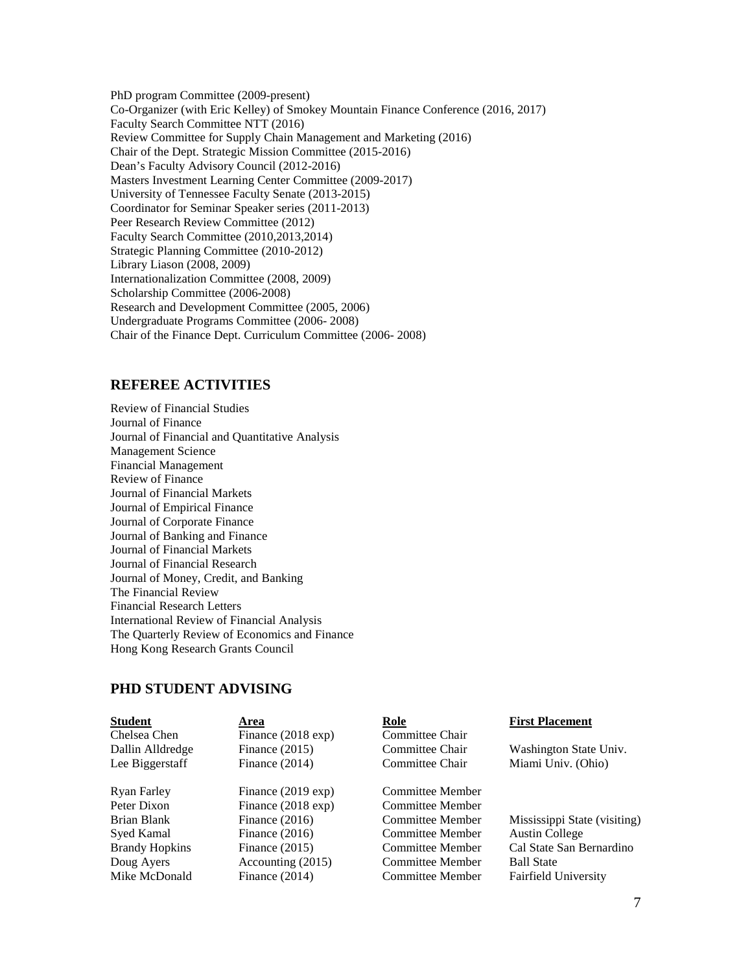PhD program Committee (2009-present) Co-Organizer (with Eric Kelley) of Smokey Mountain Finance Conference (2016, 2017) Faculty Search Committee NTT (2016) Review Committee for Supply Chain Management and Marketing (2016) Chair of the Dept. Strategic Mission Committee (2015-2016) Dean's Faculty Advisory Council (2012-2016) Masters Investment Learning Center Committee (2009-2017) University of Tennessee Faculty Senate (2013-2015) Coordinator for Seminar Speaker series (2011-2013) Peer Research Review Committee (2012) Faculty Search Committee (2010,2013,2014) Strategic Planning Committee (2010-2012) Library Liason (2008, 2009) Internationalization Committee (2008, 2009) Scholarship Committee (2006-2008) Research and Development Committee (2005, 2006) Undergraduate Programs Committee (2006- 2008) Chair of the Finance Dept. Curriculum Committee (2006- 2008)

# **REFEREE ACTIVITIES**

Review of Financial Studies Journal of Finance Journal of Financial and Quantitative Analysis Management Science Financial Management Review of Finance Journal of Financial Markets Journal of Empirical Finance Journal of Corporate Finance Journal of Banking and Finance Journal of Financial Markets Journal of Financial Research Journal of Money, Credit, and Banking The Financial Review Financial Research Letters International Review of Financial Analysis The Quarterly Review of Economics and Finance Hong Kong Research Grants Council

# **PHD STUDENT ADVISING**

| <b>Student</b>        | Area                  | <b>Role</b>      | <b>First Placement</b>       |
|-----------------------|-----------------------|------------------|------------------------------|
| Chelsea Chen          | Finance $(2018 \exp)$ | Committee Chair  |                              |
| Dallin Alldredge      | Finance $(2015)$      | Committee Chair  | Washington State Univ.       |
| Lee Biggerstaff       | Finance $(2014)$      | Committee Chair  | Miami Univ. (Ohio)           |
| Ryan Farley           | Finance $(2019 \exp)$ | Committee Member |                              |
| Peter Dixon           | Finance $(2018 \exp)$ | Committee Member |                              |
| Brian Blank           | Finance $(2016)$      | Committee Member | Mississippi State (visiting) |
| Syed Kamal            | Finance $(2016)$      | Committee Member | <b>Austin College</b>        |
| <b>Brandy Hopkins</b> | Finance $(2015)$      | Committee Member | Cal State San Bernardino     |
| Doug Ayers            | Accounting (2015)     | Committee Member | <b>Ball State</b>            |
| Mike McDonald         | Finance $(2014)$      | Committee Member | <b>Fairfield University</b>  |